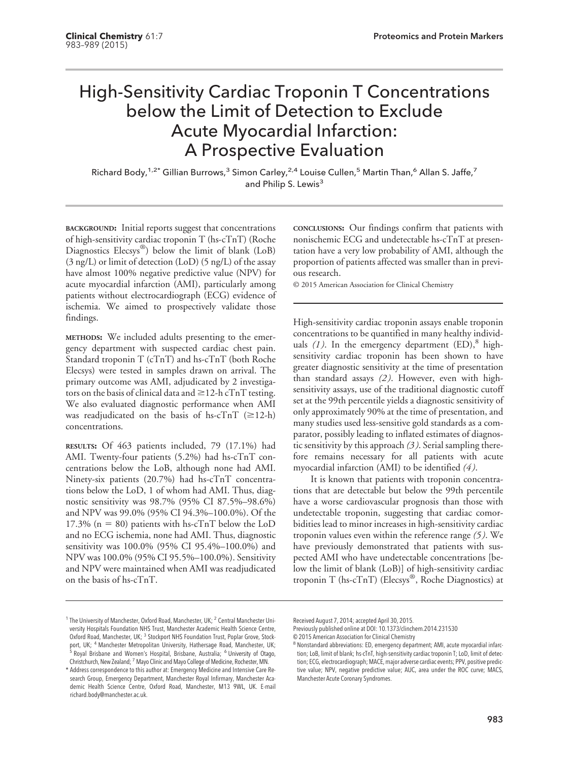# High-Sensitivity Cardiac Troponin T Concentrations below the Limit of Detection to Exclude Acute Myocardial Infarction: A Prospective Evaluation

Richard Body,<sup>1,2\*</sup> Gillian Burrows,<sup>3</sup> Simon Carley,<sup>2,4</sup> Louise Cullen,<sup>5</sup> Martin Than,<sup>6</sup> Allan S. Jaffe,<sup>7</sup> and Philip S. Lewis<sup>3</sup>

**BACKGROUND:** Initial reports suggest that concentrations of high-sensitivity cardiac troponin T (hs-cTnT) (Roche Diagnostics Elecsys®) below the limit of blank (LoB)  $(3 \text{ ng/L})$  or limit of detection  $(\text{LoD})$  (5 ng/L) of the assay have almost 100% negative predictive value (NPV) for acute myocardial infarction (AMI), particularly among patients without electrocardiograph (ECG) evidence of ischemia. We aimed to prospectively validate those findings.

**METHODS:** We included adults presenting to the emergency department with suspected cardiac chest pain. Standard troponin T (cTnT) and hs-cTnT (both Roche Elecsys) were tested in samples drawn on arrival. The primary outcome was AMI, adjudicated by 2 investigators on the basis of clinical data and  $\geq$  12-h cTnT testing. We also evaluated diagnostic performance when AMI was readjudicated on the basis of hs-cTnT  $(\geq 12-h)$ concentrations.

**RESULTS:** Of 463 patients included, 79 (17.1%) had AMI. Twenty-four patients (5.2%) had hs-cTnT concentrations below the LoB, although none had AMI. Ninety-six patients (20.7%) had hs-cTnT concentrations below the LoD, 1 of whom had AMI. Thus, diagnostic sensitivity was 98.7% (95% CI 87.5%–98.6%) and NPV was 99.0% (95% CI 94.3%–100.0%). Of the 17.3% ( $n = 80$ ) patients with hs-cTnT below the LoD and no ECG ischemia, none had AMI. Thus, diagnostic sensitivity was 100.0% (95% CI 95.4%–100.0%) and NPV was 100.0% (95% CI 95.5%–100.0%). Sensitivity and NPV were maintained when AMI was readjudicated on the basis of hs-cTnT.

 $1$  The University of Manchester, Oxford Road, Manchester, UK;  $2$  Central Manchester University Hospitals Foundation NHS Trust, Manchester Academic Health Science Centre, Oxford Road, Manchester, UK; <sup>3</sup> Stockport NHS Foundation Trust, Poplar Grove, Stock-<br>port, UK; <sup>4</sup> Manchester Metropolitan University, Hathersage Road, Manchester, UK; <sup>5</sup> Royal Brisbane and Women's Hospital, Brisbane, Australia; <sup>6</sup> University of Otago, Christchurch, New Zealand; <sup>7</sup> Mayo Clinic and Mayo College of Medicine, Rochester, MN.

\* Address correspondence to this author at: Emergency Medicine and Intensive Care Research Group, Emergency Department, Manchester Royal Infirmary, Manchester Academic Health Science Centre, Oxford Road, Manchester, M13 9WL, UK. E-mail richard.body@manchester.ac.uk.

**CONCLUSIONS:** Our findings confirm that patients with nonischemic ECG and undetectable hs-cTnT at presentation have a very low probability of AMI, although the proportion of patients affected was smaller than in previous research.

© 2015 American Association for Clinical Chemistry

High-sensitivity cardiac troponin assays enable troponin concentrations to be quantified in many healthy individuals  $(1)$ . In the emergency department  $(ED)$ , highsensitivity cardiac troponin has been shown to have greater diagnostic sensitivity at the time of presentation than standard assays *(2 )*. However, even with highsensitivity assays, use of the traditional diagnostic cutoff set at the 99th percentile yields a diagnostic sensitivity of only approximately 90% at the time of presentation, and many studies used less-sensitive gold standards as a comparator, possibly leading to inflated estimates of diagnostic sensitivity by this approach *(3 )*. Serial sampling therefore remains necessary for all patients with acute myocardial infarction (AMI) to be identified *(4 )*.

It is known that patients with troponin concentrations that are detectable but below the 99th percentile have a worse cardiovascular prognosis than those with undetectable troponin, suggesting that cardiac comorbidities lead to minor increases in high-sensitivity cardiac troponin values even within the reference range *(5 )*. We have previously demonstrated that patients with suspected AMI who have undetectable concentrations [below the limit of blank (LoB)] of high-sensitivity cardiac troponin T (hs-cTnT) (Elecsys®, Roche Diagnostics) at

Received August 7, 2014; accepted April 30, 2015.

Previously published online at DOI: 10.1373/clinchem.2014.231530

<sup>© 2015</sup> American Association for Clinical Chemistry

<sup>&</sup>lt;sup>8</sup> Nonstandard abbreviations: ED, emergency department; AMI, acute myocardial infarction; LoB, limit of blank; hs-cTnT, high-sensitivity cardiac troponin T; LoD, limit of detection; ECG, electrocardiograph; MACE, major adverse cardiac events; PPV, positive predictive value; NPV, negative predictive value; AUC, area under the ROC curve; MACS, Manchester Acute Coronary Syndromes.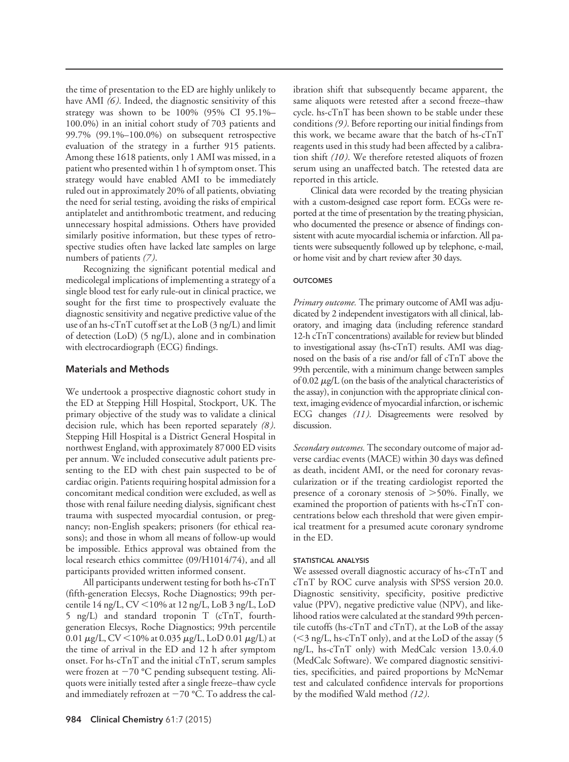the time of presentation to the ED are highly unlikely to have AMI (6). Indeed, the diagnostic sensitivity of this strategy was shown to be 100% (95% CI 95.1%– 100.0%) in an initial cohort study of 703 patients and 99.7% (99.1%–100.0%) on subsequent retrospective evaluation of the strategy in a further 915 patients. Among these 1618 patients, only 1 AMI was missed, in a patient who presented within 1 h of symptom onset. This strategy would have enabled AMI to be immediately ruled out in approximately 20% of all patients, obviating the need for serial testing, avoiding the risks of empirical antiplatelet and antithrombotic treatment, and reducing unnecessary hospital admissions. Others have provided similarly positive information, but these types of retrospective studies often have lacked late samples on large numbers of patients *(7 )*.

Recognizing the significant potential medical and medicolegal implications of implementing a strategy of a single blood test for early rule-out in clinical practice, we sought for the first time to prospectively evaluate the diagnostic sensitivity and negative predictive value of the use of an hs-cTnT cutoff set at the LoB (3 ng/L) and limit of detection (LoD) (5 ng/L), alone and in combination with electrocardiograph (ECG) findings.

## Materials and Methods

We undertook a prospective diagnostic cohort study in the ED at Stepping Hill Hospital, Stockport, UK. The primary objective of the study was to validate a clinical decision rule, which has been reported separately *(8 )*. Stepping Hill Hospital is a District General Hospital in northwest England, with approximately 87 000 ED visits per annum. We included consecutive adult patients presenting to the ED with chest pain suspected to be of cardiac origin. Patients requiring hospital admission for a concomitant medical condition were excluded, as well as those with renal failure needing dialysis, significant chest trauma with suspected myocardial contusion, or pregnancy; non-English speakers; prisoners (for ethical reasons); and those in whom all means of follow-up would be impossible. Ethics approval was obtained from the local research ethics committee (09/H1014/74), and all participants provided written informed consent.

All participants underwent testing for both hs-cTnT (fifth-generation Elecsys, Roche Diagnostics; 99th percentile 14 ng/L, CV <10% at 12 ng/L, LoB 3 ng/L, LoD 5 ng/L) and standard troponin T (cTnT, fourthgeneration Elecsys, Roche Diagnostics; 99th percentile 0.01  $\mu$ g/L, CV <10% at 0.035  $\mu$ g/L, LoD 0.01  $\mu$ g/L) at the time of arrival in the ED and 12 h after symptom onset. For hs-cTnT and the initial cTnT, serum samples were frozen at  $-70$  °C pending subsequent testing. Aliquots were initially tested after a single freeze–thaw cycle and immediately refrozen at  $-70$  °C. To address the calibration shift that subsequently became apparent, the same aliquots were retested after a second freeze–thaw cycle. hs-cTnT has been shown to be stable under these conditions *(9 )*. Before reporting our initial findings from this work, we became aware that the batch of hs-cTnT reagents used in this study had been affected by a calibration shift *(10 )*. We therefore retested aliquots of frozen serum using an unaffected batch. The retested data are reported in this article.

Clinical data were recorded by the treating physician with a custom-designed case report form. ECGs were reported at the time of presentation by the treating physician, who documented the presence or absence of findings consistent with acute myocardial ischemia or infarction. All patients were subsequently followed up by telephone, e-mail, or home visit and by chart review after 30 days.

## **OUTCOMES**

*Primary outcome.* The primary outcome of AMI was adjudicated by 2 independent investigators with all clinical, laboratory, and imaging data (including reference standard 12-h cTnT concentrations) available for review but blinded to investigational assay (hs-cTnT) results. AMI was diagnosed on the basis of a rise and/or fall of cTnT above the 99th percentile, with a minimum change between samples of  $0.02 \mu g/L$  (on the basis of the analytical characteristics of the assay), in conjunction with the appropriate clinical context, imaging evidence of myocardial infarction, or ischemic ECG changes *(11 )*. Disagreements were resolved by discussion.

*Secondary outcomes.* The secondary outcome of major adverse cardiac events (MACE) within 30 days was defined as death, incident AMI, or the need for coronary revascularization or if the treating cardiologist reported the presence of a coronary stenosis of  $>50\%$ . Finally, we examined the proportion of patients with hs-cTnT concentrations below each threshold that were given empirical treatment for a presumed acute coronary syndrome in the ED.

## STATISTICAL ANALYSIS

We assessed overall diagnostic accuracy of hs-cTnT and cTnT by ROC curve analysis with SPSS version 20.0. Diagnostic sensitivity, specificity, positive predictive value (PPV), negative predictive value (NPV), and likelihood ratios were calculated at the standard 99th percentile cutoffs (hs-cTnT and cTnT), at the LoB of the assay  $(<$ 3 ng/L, hs-cTnT only), and at the LoD of the assay (5 ng/L, hs-cTnT only) with MedCalc version 13.0.4.0 (MedCalc Software). We compared diagnostic sensitivities, specificities, and paired proportions by McNemar test and calculated confidence intervals for proportions by the modified Wald method *(12 )*.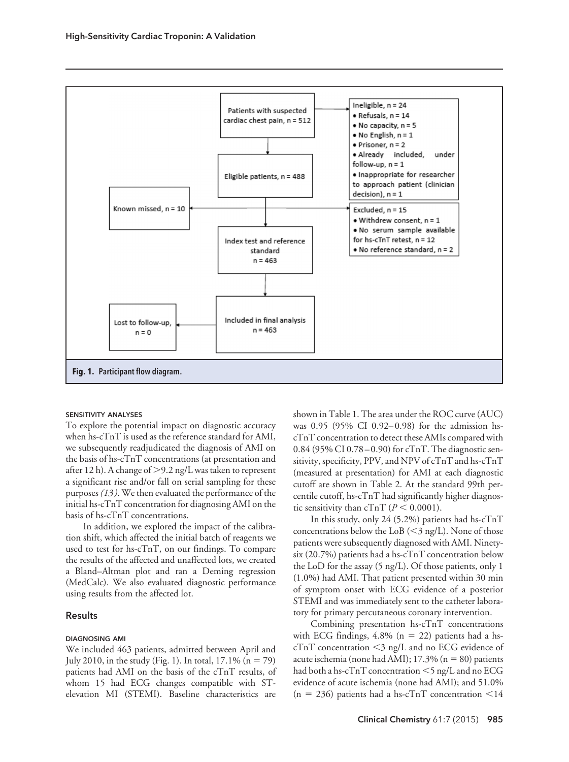

## SENSITIVITY ANALYSES

To explore the potential impact on diagnostic accuracy when hs-cTnT is used as the reference standard for AMI, we subsequently readjudicated the diagnosis of AMI on the basis of hs-cTnT concentrations (at presentation and after 12 h). A change of  $>$  9.2 ng/L was taken to represent a significant rise and/or fall on serial sampling for these purposes *(13 )*. We then evaluated the performance of the initial hs-cTnT concentration for diagnosing AMI on the basis of hs-cTnT concentrations.

In addition, we explored the impact of the calibration shift, which affected the initial batch of reagents we used to test for hs-cTnT, on our findings. To compare the results of the affected and unaffected lots, we created a Bland–Altman plot and ran a Deming regression (MedCalc). We also evaluated diagnostic performance using results from the affected lot.

# **Results**

#### DIAGNOSING AMI

We included 463 patients, admitted between April and July 2010, in the study (Fig. 1). In total,  $17.1\%$  (n = 79) patients had AMI on the basis of the cTnT results, of whom 15 had ECG changes compatible with STelevation MI (STEMI). Baseline characteristics are shown in Table 1. The area under the ROC curve (AUC) was 0.95 (95% CI 0.92– 0.98) for the admission hscTnT concentration to detect these AMIs compared with 0.84 (95% CI 0.78 – 0.90) for cTnT. The diagnostic sensitivity, specificity, PPV, and NPV of cTnT and hs-cTnT (measured at presentation) for AMI at each diagnostic cutoff are shown in Table 2. At the standard 99th percentile cutoff, hs-cTnT had significantly higher diagnostic sensitivity than  $cTnT$  ( $P < 0.0001$ ).

In this study, only 24 (5.2%) patients had hs-cTnT concentrations below the LoB  $(<$ 3 ng/L). None of those patients were subsequently diagnosed with AMI. Ninetysix (20.7%) patients had a hs-cTnT concentration below the LoD for the assay (5 ng/L). Of those patients, only 1 (1.0%) had AMI. That patient presented within 30 min of symptom onset with ECG evidence of a posterior STEMI and was immediately sent to the catheter laboratory for primary percutaneous coronary intervention.

Combining presentation hs-cTnT concentrations with ECG findings,  $4.8\%$  (n = 22) patients had a hs $cTnT$  concentration  $\leq$  ng/L and no ECG evidence of acute ischemia (none had AMI);  $17.3\%$  (n = 80) patients had both a hs- $cTnT$  concentration  $\leq$ 5 ng/L and no ECG evidence of acute ischemia (none had AMI); and 51.0%  $(n = 236)$  patients had a hs-cTnT concentration  $\leq 14$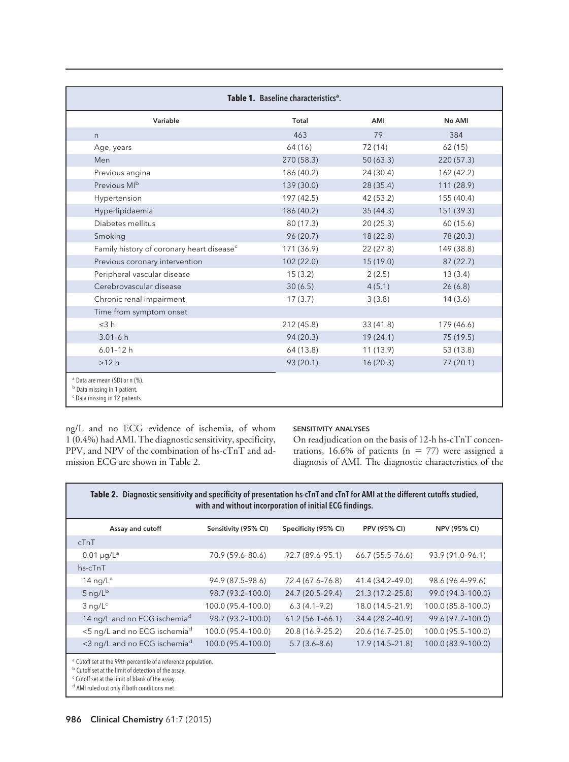| Table 1. Baseline characteristics <sup>a</sup> .                                                                                  |            |           |            |
|-----------------------------------------------------------------------------------------------------------------------------------|------------|-----------|------------|
| Variable                                                                                                                          | Total      | AMI       | No AMI     |
| n                                                                                                                                 | 463        | 79        | 384        |
| Age, years                                                                                                                        | 64 (16)    | 72 (14)   | 62(15)     |
| Men                                                                                                                               | 270 (58.3) | 50(63.3)  | 220(57.3)  |
| Previous angina                                                                                                                   | 186 (40.2) | 24 (30.4) | 162 (42.2) |
| Previous MI <sup>b</sup>                                                                                                          | 139 (30.0) | 28(35.4)  | 111(28.9)  |
| Hypertension                                                                                                                      | 197 (42.5) | 42 (53.2) | 155 (40.4) |
| Hyperlipidaemia                                                                                                                   | 186 (40.2) | 35(44.3)  | 151 (39.3) |
| Diabetes mellitus                                                                                                                 | 80 (17.3)  | 20(25.3)  | 60 (15.6)  |
| Smoking                                                                                                                           | 96(20.7)   | 18(22.8)  | 78 (20.3)  |
| Family history of coronary heart disease <sup>c</sup>                                                                             | 171 (36.9) | 22(27.8)  | 149 (38.8) |
| Previous coronary intervention                                                                                                    | 102(22.0)  | 15(19.0)  | 87(22.7)   |
| Peripheral vascular disease                                                                                                       | 15(3.2)    | 2(2.5)    | 13(3.4)    |
| Cerebrovascular disease                                                                                                           | 30(6.5)    | 4(5.1)    | 26(6.8)    |
| Chronic renal impairment                                                                                                          | 17(3.7)    | 3(3.8)    | 14(3.6)    |
| Time from symptom onset                                                                                                           |            |           |            |
| $\leq$ 3 h                                                                                                                        | 212 (45.8) | 33(41.8)  | 179 (46.6) |
| $3.01 - 6 h$                                                                                                                      | 94(20.3)   | 19(24.1)  | 75(19.5)   |
| $6.01 - 12h$                                                                                                                      | 64 (13.8)  | 11(13.9)  | 53 (13.8)  |
| >12 h                                                                                                                             | 93(20.1)   | 16(20.3)  | 77(20.1)   |
| <sup>a</sup> Data are mean (SD) or n (%).<br><sup>b</sup> Data missing in 1 patient.<br><sup>c</sup> Data missing in 12 patients. |            |           |            |

ng/L and no ECG evidence of ischemia, of whom 1 (0.4%) had AMI. The diagnostic sensitivity, specificity, PPV, and NPV of the combination of hs-cTnT and admission ECG are shown in Table 2.

## SENSITIVITY ANALYSES

On readjudication on the basis of 12-h hs-cTnT concentrations, 16.6% of patients ( $n = 77$ ) were assigned a diagnosis of AMI. The diagnostic characteristics of the

| Table 2. Diagnostic sensitivity and specificity of presentation hs-cTnT and cTnT for AMI at the different cutoffs studied, |  |
|----------------------------------------------------------------------------------------------------------------------------|--|
| with and without incorporation of initial ECG findings.                                                                    |  |

| Assay and cutoff                                                         | Sensitivity (95% CI) | Specificity (95% CI) | PPV (95% CI)      | <b>NPV (95% CI)</b> |
|--------------------------------------------------------------------------|----------------------|----------------------|-------------------|---------------------|
| cTnT                                                                     |                      |                      |                   |                     |
| $0.01 \mu g/L^a$                                                         | 70.9 (59.6-80.6)     | 92.7 (89.6-95.1)     | $66.7(55.5-76.6)$ | 93.9 (91.0-96.1)    |
| $hs\text{-}cTnT$                                                         |                      |                      |                   |                     |
| 14 ng/ $L^a$                                                             | 94.9 (87.5-98.6)     | 72.4 (67.6-76.8)     | 41.4 (34.2-49.0)  | 98.6 (96.4-99.6)    |
| $5 \text{ ng/L}^{\text{b}}$                                              | 98.7 (93.2-100.0)    | 24.7 (20.5-29.4)     | 21.3 (17.2-25.8)  | 99.0 (94.3-100.0)   |
| $3$ ng/ $L^c$                                                            | 100.0 (95.4-100.0)   | $6.3(4.1-9.2)$       | 18.0 (14.5-21.9)  | 100.0 (85.8-100.0)  |
| 14 ng/L and no ECG ischemia <sup>d</sup>                                 | 98.7 (93.2-100.0)    | $61.2(56.1 - 66.1)$  | 34.4 (28.2-40.9)  | 99.6 (97.7-100.0)   |
| <5 ng/L and no ECG ischemia <sup>d</sup>                                 | 100.0 (95.4-100.0)   | 20.8 (16.9-25.2)     | 20.6 (16.7-25.0)  | 100.0 (95.5-100.0)  |
| <3 ng/L and no ECG ischemia <sup>d</sup>                                 | 100.0 (95.4-100.0)   | $5.7(3.6-8.6)$       | 17.9 (14.5-21.8)  | 100.0 (83.9-100.0)  |
| <sup>a</sup> Cutoff set at the 99th nerrentile of a reference nonulation |                      |                      |                   |                     |

<sup>a</sup> Cutoff set at the 99th percentile of a reference population.

<sup>b</sup> Cutoff set at the limit of detection of the assay.

<sup>c</sup> Cutoff set at the limit of blank of the assay.

<sup>d</sup> AMI ruled out only if both conditions met.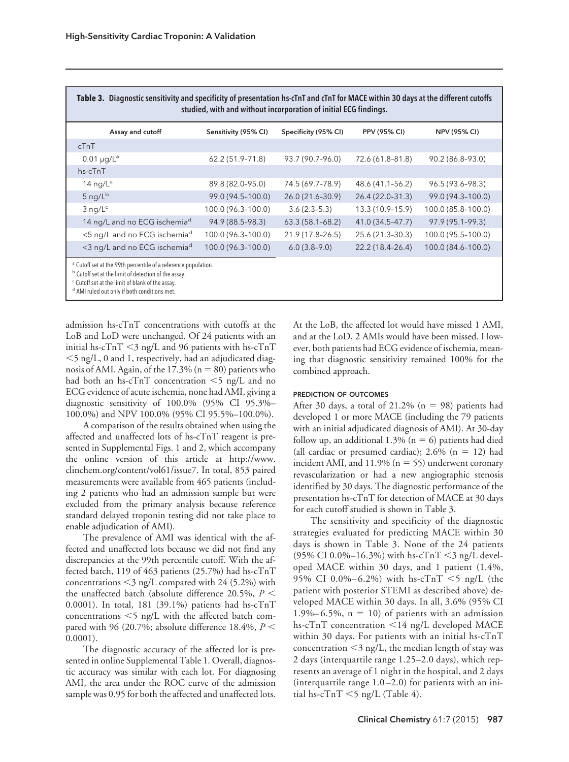| Table 3. Diagnostic sensitivity and specificity of presentation hs-crift and crift for MACE within 30 days at the different cutoffs<br>studied, with and without incorporation of initial ECG findings. |                      |                      |                  |                     |
|---------------------------------------------------------------------------------------------------------------------------------------------------------------------------------------------------------|----------------------|----------------------|------------------|---------------------|
| Assay and cutoff                                                                                                                                                                                        | Sensitivity (95% CI) | Specificity (95% CI) | PPV (95% CI)     | <b>NPV (95% CI)</b> |
| cTnT                                                                                                                                                                                                    |                      |                      |                  |                     |
| $0.01 \mu q/L^a$                                                                                                                                                                                        | 62.2 (51.9-71.8)     | 93.7 (90.7-96.0)     | 72.6 (61.8-81.8) | 90.2 (86.8-93.0)    |
| $hs\text{-}cTnT$                                                                                                                                                                                        |                      |                      |                  |                     |
| 14 ng/ $L^a$                                                                                                                                                                                            | 89.8 (82.0-95.0)     | 74.5 (69.7-78.9)     | 48.6 (41.1-56.2) | 96.5 (93.6-98.3)    |
| 5 ng/ $L^b$                                                                                                                                                                                             | 99.0 (94.5-100.0)    | 26.0 (21.6-30.9)     | 26.4 (22.0-31.3) | 99.0 (94.3-100.0)   |
| $3$ ng/ $L^c$                                                                                                                                                                                           | 100.0 (96.3-100.0)   | $3.6(2.3-5.3)$       | 13.3 (10.9-15.9) | 100.0 (85.8-100.0)  |
| 14 ng/L and no ECG ischemia <sup>d</sup>                                                                                                                                                                | 94.9 (88.5-98.3)     | $63.3(58.1 - 68.2)$  | 41.0 (34.5-47.7) | 97.9 (95.1-99.3)    |
| <5 ng/L and no ECG ischemia <sup>d</sup>                                                                                                                                                                | 100.0 (96.3-100.0)   | 21.9 (17.8-26.5)     | 25.6 (21.3-30.3) | 100.0 (95.5-100.0)  |
| <3 ng/L and no ECG ischemia <sup>d</sup>                                                                                                                                                                | 100.0 (96.3-100.0)   | $6.0(3.8-9.0)$       | 22.2 (18.4-26.4) | 100.0 (84.6-100.0)  |

| Table 3. Diagnostic sensitivity and specificity of presentation hs-cTnT and cTnT for MACE within 30 days at the different cutoffs |
|-----------------------------------------------------------------------------------------------------------------------------------|
| studied, with and without incorporation of initial ECG findings.                                                                  |

<sup>a</sup> Cutoff set at the 99th percentile of a reference population.

<sup>b</sup> Cutoff set at the limit of detection of the assay.

<sup>c</sup> Cutoff set at the limit of blank of the assay.

<sup>d</sup> AMI ruled out only if both conditions met.

admission hs-cTnT concentrations with cutoffs at the LoB and LoD were unchanged. Of 24 patients with an initial hs-cTnT 3 ng/L and 96 patients with hs-cTnT 5 ng/L, 0 and 1, respectively, had an adjudicated diagnosis of AMI. Again, of the 17.3% ( $n = 80$ ) patients who had both an hs-c $TnT$  concentration  $\leq$  ng/L and no ECG evidence of acute ischemia, none had AMI, giving a diagnostic sensitivity of 100.0% (95% CI 95.3%– 100.0%) and NPV 100.0% (95% CI 95.5%–100.0%).

A comparison of the results obtained when using the affected and unaffected lots of hs-cTnT reagent is presented in Supplemental Figs. 1 and 2, which accompany the online version of this article at [http://www.](http://www.clinchem.org/content/vol61/issue7) [clinchem.org/content/vol61/issue7.](http://www.clinchem.org/content/vol61/issue7) In total, 853 paired measurements were available from 465 patients (including 2 patients who had an admission sample but were excluded from the primary analysis because reference standard delayed troponin testing did not take place to enable adjudication of AMI).

The prevalence of AMI was identical with the affected and unaffected lots because we did not find any discrepancies at the 99th percentile cutoff. With the affected batch, 119 of 463 patients (25.7%) had hs-cTnT concentrations  $\leq$ 3 ng/L compared with 24 (5.2%) with the unaffected batch (absolute difference 20.5%,  $P$  < 0.0001). In total, 181 (39.1%) patients had hs-cTnT concentrations  $\leq$  ng/L with the affected batch compared with 96 (20.7%; absolute difference 18.4%,  $P \leq$ 0.0001).

The diagnostic accuracy of the affected lot is presented in online Supplemental Table 1. Overall, diagnostic accuracy was similar with each lot. For diagnosing AMI, the area under the ROC curve of the admission sample was 0.95 for both the affected and unaffected lots. At the LoB, the affected lot would have missed 1 AMI, and at the LoD, 2 AMIs would have been missed. However, both patients had ECG evidence of ischemia, meaning that diagnostic sensitivity remained 100% for the combined approach.

### PREDICTION OF OUTCOMES

After 30 days, a total of 21.2%  $(n = 98)$  patients had developed 1 or more MACE (including the 79 patients with an initial adjudicated diagnosis of AMI). At 30-day follow up, an additional  $1.3\%$  (n = 6) patients had died (all cardiac or presumed cardiac);  $2.6\%$  (n = 12) had incident AMI, and  $11.9\%$  (n = 55) underwent coronary revascularization or had a new angiographic stenosis identified by 30 days. The diagnostic performance of the presentation hs-cTnT for detection of MACE at 30 days for each cutoff studied is shown in Table 3.

The sensitivity and specificity of the diagnostic strategies evaluated for predicting MACE within 30 days is shown in Table 3. None of the 24 patients (95% CI 0.0%–16.3%) with hs- $cTnT < 3$  ng/L developed MACE within 30 days, and 1 patient (1.4%, 95% CI 0.0%–6.2%) with hs-cTnT  $\leq$ 5 ng/L (the patient with posterior STEMI as described above) developed MACE within 30 days. In all, 3.6% (95% CI  $1.9\% - 6.5\%$ , n = 10) of patients with an admission hs-cTnT concentration <14 ng/L developed MACE within 30 days. For patients with an initial hs-cTnT concentration  $\leq$ 3 ng/L, the median length of stay was 2 days (interquartile range 1.25–2.0 days), which represents an average of 1 night in the hospital, and 2 days (interquartile range  $1.0 - 2.0$ ) for patients with an initial hs-c $TnT \leq 5$  ng/L (Table 4).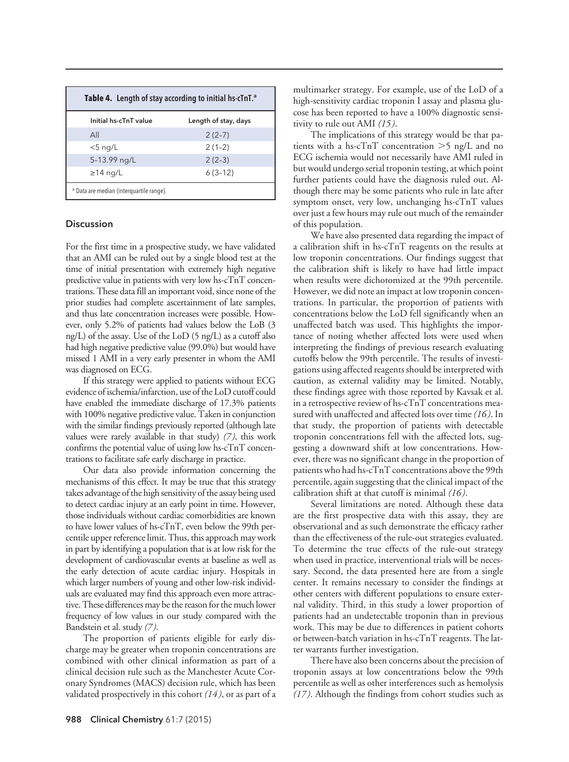| Table 4. Length of stay according to initial hs-cTnT. <sup>a</sup> |                      |  |
|--------------------------------------------------------------------|----------------------|--|
| Initial hs-cTnT value                                              | Length of stay, days |  |
| All                                                                | $2(2-7)$             |  |
| $<$ 5 ng/L                                                         | $2(1-2)$             |  |
| 5-13.99 ng/L                                                       | $2(2-3)$             |  |
| $\geq$ 14 ng/L                                                     | $6(3-12)$            |  |
| <sup>a</sup> Data are median (interquartile range).                |                      |  |

# **Discussion**

For the first time in a prospective study, we have validated that an AMI can be ruled out by a single blood test at the time of initial presentation with extremely high negative predictive value in patients with very low hs-cTnT concentrations. These data fill an important void, since none of the prior studies had complete ascertainment of late samples, and thus late concentration increases were possible. However, only 5.2% of patients had values below the LoB (3 ng/L) of the assay. Use of the LoD (5 ng/L) as a cutoff also had high negative predictive value (99.0%) but would have missed 1 AMI in a very early presenter in whom the AMI was diagnosed on ECG.

If this strategy were applied to patients without ECG evidence of ischemia/infarction, use of the LoD cutoff could have enabled the immediate discharge of 17.3% patients with 100% negative predictive value. Taken in conjunction with the similar findings previously reported (although late values were rarely available in that study) *(7 )*, this work confirms the potential value of using low hs-cTnT concentrations to facilitate safe early discharge in practice.

Our data also provide information concerning the mechanisms of this effect. It may be true that this strategy takes advantage of the high sensitivity of the assay being used to detect cardiac injury at an early point in time. However, those individuals without cardiac comorbidities are known to have lower values of hs-cTnT, even below the 99th percentile upper reference limit. Thus, this approach may work in part by identifying a population that is at low risk for the development of cardiovascular events at baseline as well as the early detection of acute cardiac injury. Hospitals in which larger numbers of young and other low-risk individuals are evaluated may find this approach even more attractive. These differences may be the reason for the much lower frequency of low values in our study compared with the Bandstein et al. study *(7 )*.

The proportion of patients eligible for early discharge may be greater when troponin concentrations are combined with other clinical information as part of a clinical decision rule such as the Manchester Acute Coronary Syndromes (MACS) decision rule, which has been validated prospectively in this cohort *(14 )*, or as part of a multimarker strategy. For example, use of the LoD of a high-sensitivity cardiac troponin I assay and plasma glucose has been reported to have a 100% diagnostic sensitivity to rule out AMI *(15 )*.

The implications of this strategy would be that patients with a hs-cTnT concentration  $>5$  ng/L and no ECG ischemia would not necessarily have AMI ruled in but would undergo serial troponin testing, at which point further patients could have the diagnosis ruled out. Although there may be some patients who rule in late after symptom onset, very low, unchanging hs-cTnT values over just a few hours may rule out much of the remainder of this population.

We have also presented data regarding the impact of a calibration shift in hs-cTnT reagents on the results at low troponin concentrations. Our findings suggest that the calibration shift is likely to have had little impact when results were dichotomized at the 99th percentile. However, we did note an impact at low troponin concentrations. In particular, the proportion of patients with concentrations below the LoD fell significantly when an unaffected batch was used. This highlights the importance of noting whether affected lots were used when interpreting the findings of previous research evaluating cutoffs below the 99th percentile. The results of investigations using affected reagents should be interpreted with caution, as external validity may be limited. Notably, these findings agree with those reported by Kavsak et al. in a retrospective review of hs-cTnT concentrations measured with unaffected and affected lots over time*(16 )*. In that study, the proportion of patients with detectable troponin concentrations fell with the affected lots, suggesting a downward shift at low concentrations. However, there was no significant change in the proportion of patients who had hs-cTnT concentrations above the 99th percentile, again suggesting that the clinical impact of the calibration shift at that cutoff is minimal *(16 )*.

Several limitations are noted. Although these data are the first prospective data with this assay, they are observational and as such demonstrate the efficacy rather than the effectiveness of the rule-out strategies evaluated. To determine the true effects of the rule-out strategy when used in practice, interventional trials will be necessary. Second, the data presented here are from a single center. It remains necessary to consider the findings at other centers with different populations to ensure external validity. Third, in this study a lower proportion of patients had an undetectable troponin than in previous work. This may be due to differences in patient cohorts or between-batch variation in hs-cTnT reagents. The latter warrants further investigation.

There have also been concerns about the precision of troponin assays at low concentrations below the 99th percentile as well as other interferences such as hemolysis *(17 )*. Although the findings from cohort studies such as